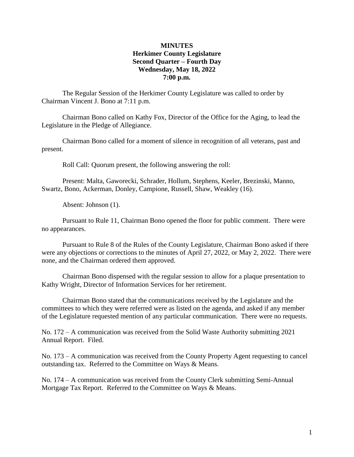## **MINUTES Herkimer County Legislature Second Quarter – Fourth Day Wednesday, May 18, 2022 7:00 p.m.**

The Regular Session of the Herkimer County Legislature was called to order by Chairman Vincent J. Bono at 7:11 p.m.

Chairman Bono called on Kathy Fox, Director of the Office for the Aging, to lead the Legislature in the Pledge of Allegiance.

Chairman Bono called for a moment of silence in recognition of all veterans, past and present.

Roll Call: Quorum present, the following answering the roll:

Present: Malta, Gaworecki, Schrader, Hollum, Stephens, Keeler, Brezinski, Manno, Swartz, Bono, Ackerman, Donley, Campione, Russell, Shaw, Weakley (16).

Absent: Johnson (1).

Pursuant to Rule 11, Chairman Bono opened the floor for public comment. There were no appearances.

Pursuant to Rule 8 of the Rules of the County Legislature, Chairman Bono asked if there were any objections or corrections to the minutes of April 27, 2022, or May 2, 2022. There were none, and the Chairman ordered them approved.

Chairman Bono dispensed with the regular session to allow for a plaque presentation to Kathy Wright, Director of Information Services for her retirement.

Chairman Bono stated that the communications received by the Legislature and the committees to which they were referred were as listed on the agenda, and asked if any member of the Legislature requested mention of any particular communication. There were no requests.

No. 172 – A communication was received from the Solid Waste Authority submitting 2021 Annual Report. Filed.

No. 173 – A communication was received from the County Property Agent requesting to cancel outstanding tax. Referred to the Committee on Ways & Means.

No. 174 – A communication was received from the County Clerk submitting Semi-Annual Mortgage Tax Report. Referred to the Committee on Ways & Means.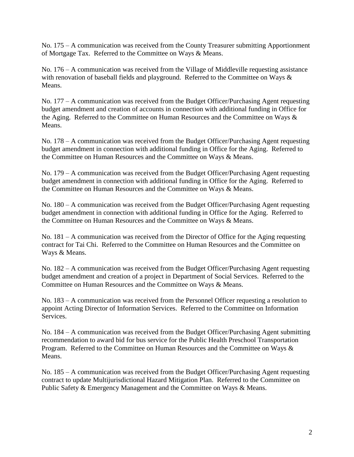No. 175 – A communication was received from the County Treasurer submitting Apportionment of Mortgage Tax. Referred to the Committee on Ways & Means.

No. 176 – A communication was received from the Village of Middleville requesting assistance with renovation of baseball fields and playground. Referred to the Committee on Ways  $\&$ Means.

No. 177 – A communication was received from the Budget Officer/Purchasing Agent requesting budget amendment and creation of accounts in connection with additional funding in Office for the Aging. Referred to the Committee on Human Resources and the Committee on Ways & Means.

No. 178 – A communication was received from the Budget Officer/Purchasing Agent requesting budget amendment in connection with additional funding in Office for the Aging. Referred to the Committee on Human Resources and the Committee on Ways & Means.

No. 179 – A communication was received from the Budget Officer/Purchasing Agent requesting budget amendment in connection with additional funding in Office for the Aging. Referred to the Committee on Human Resources and the Committee on Ways & Means.

No. 180 – A communication was received from the Budget Officer/Purchasing Agent requesting budget amendment in connection with additional funding in Office for the Aging. Referred to the Committee on Human Resources and the Committee on Ways & Means.

No. 181 – A communication was received from the Director of Office for the Aging requesting contract for Tai Chi. Referred to the Committee on Human Resources and the Committee on Ways & Means.

No. 182 – A communication was received from the Budget Officer/Purchasing Agent requesting budget amendment and creation of a project in Department of Social Services. Referred to the Committee on Human Resources and the Committee on Ways & Means.

No. 183 – A communication was received from the Personnel Officer requesting a resolution to appoint Acting Director of Information Services. Referred to the Committee on Information Services.

No. 184 – A communication was received from the Budget Officer/Purchasing Agent submitting recommendation to award bid for bus service for the Public Health Preschool Transportation Program. Referred to the Committee on Human Resources and the Committee on Ways & Means.

No. 185 – A communication was received from the Budget Officer/Purchasing Agent requesting contract to update Multijurisdictional Hazard Mitigation Plan. Referred to the Committee on Public Safety & Emergency Management and the Committee on Ways & Means.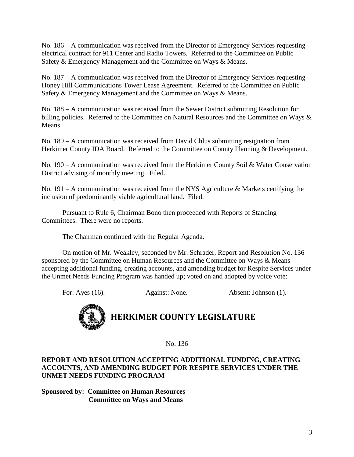No. 186 – A communication was received from the Director of Emergency Services requesting electrical contract for 911 Center and Radio Towers. Referred to the Committee on Public Safety & Emergency Management and the Committee on Ways & Means.

No. 187 – A communication was received from the Director of Emergency Services requesting Honey Hill Communications Tower Lease Agreement. Referred to the Committee on Public Safety & Emergency Management and the Committee on Ways & Means.

No. 188 – A communication was received from the Sewer District submitting Resolution for billing policies. Referred to the Committee on Natural Resources and the Committee on Ways & Means.

No. 189 – A communication was received from David Chlus submitting resignation from Herkimer County IDA Board. Referred to the Committee on County Planning & Development.

No. 190 – A communication was received from the Herkimer County Soil & Water Conservation District advising of monthly meeting. Filed.

No. 191 – A communication was received from the NYS Agriculture  $\&$  Markets certifying the inclusion of predominantly viable agricultural land. Filed.

Pursuant to Rule 6, Chairman Bono then proceeded with Reports of Standing Committees. There were no reports.

The Chairman continued with the Regular Agenda.

On motion of Mr. Weakley, seconded by Mr. Schrader, Report and Resolution No. 136 sponsored by the Committee on Human Resources and the Committee on Ways & Means accepting additional funding, creating accounts, and amending budget for Respite Services under the Unmet Needs Funding Program was handed up; voted on and adopted by voice vote:

For: Ayes (16). Against: None. Absent: Johnson (1).



No. 136

# **REPORT AND RESOLUTION ACCEPTING ADDITIONAL FUNDING, CREATING ACCOUNTS, AND AMENDING BUDGET FOR RESPITE SERVICES UNDER THE UNMET NEEDS FUNDING PROGRAM**

**Sponsored by: Committee on Human Resources Committee on Ways and Means**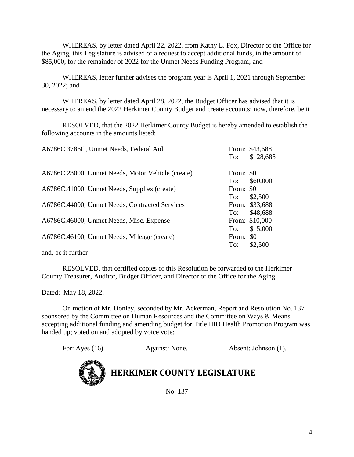WHEREAS, by letter dated April 22, 2022, from Kathy L. Fox, Director of the Office for the Aging, this Legislature is advised of a request to accept additional funds, in the amount of \$85,000, for the remainder of 2022 for the Unmet Needs Funding Program; and

WHEREAS, letter further advises the program year is April 1, 2021 through September 30, 2022; and

WHEREAS, by letter dated April 28, 2022, the Budget Officer has advised that it is necessary to amend the 2022 Herkimer County Budget and create accounts; now, therefore, be it

RESOLVED, that the 2022 Herkimer County Budget is hereby amended to establish the following accounts in the amounts listed:

| A6786C.3786C, Unmet Needs, Federal Aid            | To:       | From: \$43,688<br>\$128,688 |
|---------------------------------------------------|-----------|-----------------------------|
| A6786C.23000, Unmet Needs, Motor Vehicle (create) | From: \$0 |                             |
|                                                   | To:       | \$60,000                    |
| A6786C.41000, Unmet Needs, Supplies (create)      | From: \$0 |                             |
|                                                   | To:       | \$2,500                     |
| A6786C.44000, Unmet Needs, Contracted Services    |           | From: \$33,688              |
|                                                   | To:       | \$48,688                    |
| A6786C.46000, Unmet Needs, Misc. Expense          |           | From: \$10,000              |
|                                                   | To:       | \$15,000                    |
| A6786C.46100, Unmet Needs, Mileage (create)       | From: \$0 |                             |
|                                                   | To:       | \$2,500                     |
|                                                   |           |                             |

and, be it further

RESOLVED, that certified copies of this Resolution be forwarded to the Herkimer County Treasurer, Auditor, Budget Officer, and Director of the Office for the Aging.

Dated: May 18, 2022.

On motion of Mr. Donley, seconded by Mr. Ackerman, Report and Resolution No. 137 sponsored by the Committee on Human Resources and the Committee on Ways & Means accepting additional funding and amending budget for Title IIID Health Promotion Program was handed up; voted on and adopted by voice vote:

For: Ayes (16). Against: None. Absent: Johnson (1).



**HERKIMER COUNTY LEGISLATURE**

No. 137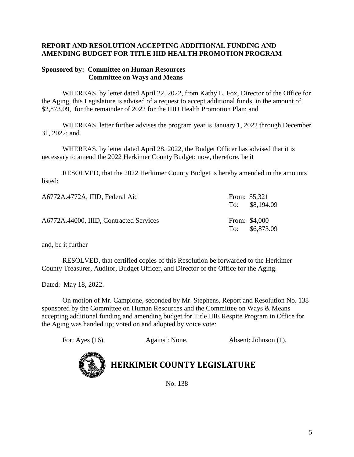# **REPORT AND RESOLUTION ACCEPTING ADDITIONAL FUNDING AND AMENDING BUDGET FOR TITLE IIID HEALTH PROMOTION PROGRAM**

### **Sponsored by: Committee on Human Resources Committee on Ways and Means**

WHEREAS, by letter dated April 22, 2022, from Kathy L. Fox, Director of the Office for the Aging, this Legislature is advised of a request to accept additional funds, in the amount of \$2,873.09, for the remainder of 2022 for the IIID Health Promotion Plan; and

WHEREAS, letter further advises the program year is January 1, 2022 through December 31, 2022; and

WHEREAS, by letter dated April 28, 2022, the Budget Officer has advised that it is necessary to amend the 2022 Herkimer County Budget; now, therefore, be it

RESOLVED, that the 2022 Herkimer County Budget is hereby amended in the amounts listed:

| A6772A.4772A, IIID, Federal Aid         | From: $$5,321$<br>To: $$8,194.09$ |
|-----------------------------------------|-----------------------------------|
| A6772A.44000, IIID, Contracted Services | From: \$4,000<br>To: \$6,873.09   |

and, be it further

RESOLVED, that certified copies of this Resolution be forwarded to the Herkimer County Treasurer, Auditor, Budget Officer, and Director of the Office for the Aging.

Dated: May 18, 2022.

On motion of Mr. Campione, seconded by Mr. Stephens, Report and Resolution No. 138 sponsored by the Committee on Human Resources and the Committee on Ways & Means accepting additional funding and amending budget for Title IIIE Respite Program in Office for the Aging was handed up; voted on and adopted by voice vote:

| For: Ayes (16). | Against: None. | Absent: Johnson (1). |
|-----------------|----------------|----------------------|
|                 |                |                      |



**HERKIMER COUNTY LEGISLATURE**

No. 138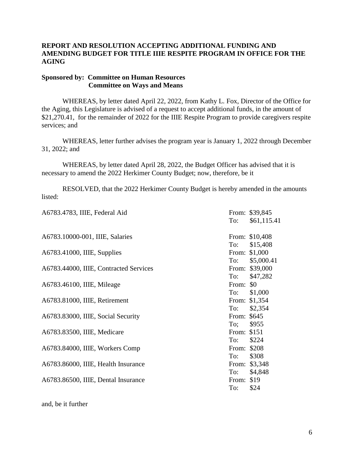# **REPORT AND RESOLUTION ACCEPTING ADDITIONAL FUNDING AND AMENDING BUDGET FOR TITLE IIIE RESPITE PROGRAM IN OFFICE FOR THE AGING**

#### **Sponsored by: Committee on Human Resources Committee on Ways and Means**

WHEREAS, by letter dated April 22, 2022, from Kathy L. Fox, Director of the Office for the Aging, this Legislature is advised of a request to accept additional funds, in the amount of \$21,270.41, for the remainder of 2022 for the IIIE Respite Program to provide caregivers respite services; and

WHEREAS, letter further advises the program year is January 1, 2022 through December 31, 2022; and

WHEREAS, by letter dated April 28, 2022, the Budget Officer has advised that it is necessary to amend the 2022 Herkimer County Budget; now, therefore, be it

RESOLVED, that the 2022 Herkimer County Budget is hereby amended in the amounts listed:

| A6783.4783, IIIE, Federal Aid          |             | From: \$39,845 |
|----------------------------------------|-------------|----------------|
|                                        | To:         | \$61,115.41    |
| A6783.10000-001, IIIE, Salaries        |             | From: \$10,408 |
|                                        | To:         | \$15,408       |
| A6783.41000, IIIE, Supplies            |             | From: \$1,000  |
|                                        | To:         | \$5,000.41     |
| A6783.44000, IIIE, Contracted Services |             | From: \$39,000 |
|                                        | To:         | \$47,282       |
| A6783.46100, IIIE, Mileage             | From: \$0   |                |
|                                        | To:         | \$1,000        |
| A6783.81000, IIIE, Retirement          |             | From: \$1,354  |
|                                        | To:         | \$2,354        |
| A6783.83000, IIIE, Social Security     | From: \$645 |                |
|                                        | To;         | \$955          |
| A6783.83500, IIIE, Medicare            | From: \$151 |                |
|                                        | To:         | \$224          |
| A6783.84000, IIIE, Workers Comp        | From: \$208 |                |
|                                        | To:         | \$308          |
| A6783.86000, IIIE, Health Insurance    |             | From: \$3,348  |
|                                        | To:         | \$4,848        |
| A6783.86500, IIIE, Dental Insurance    | From: \$19  |                |
|                                        | To:         | \$24           |

and, be it further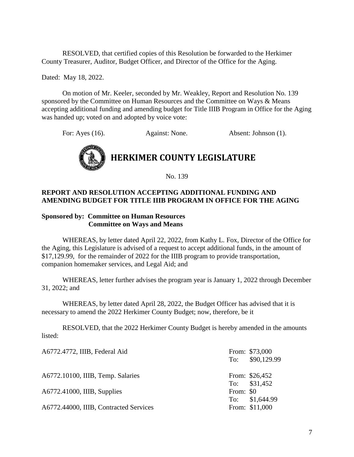RESOLVED, that certified copies of this Resolution be forwarded to the Herkimer County Treasurer, Auditor, Budget Officer, and Director of the Office for the Aging.

Dated: May 18, 2022.

On motion of Mr. Keeler, seconded by Mr. Weakley, Report and Resolution No. 139 sponsored by the Committee on Human Resources and the Committee on Ways & Means accepting additional funding and amending budget for Title IIIB Program in Office for the Aging was handed up; voted on and adopted by voice vote:

For: Ayes (16). Against: None. Absent: Johnson (1).



No. 139

# **REPORT AND RESOLUTION ACCEPTING ADDITIONAL FUNDING AND AMENDING BUDGET FOR TITLE IIIB PROGRAM IN OFFICE FOR THE AGING**

#### **Sponsored by: Committee on Human Resources Committee on Ways and Means**

WHEREAS, by letter dated April 22, 2022, from Kathy L. Fox, Director of the Office for the Aging, this Legislature is advised of a request to accept additional funds, in the amount of \$17,129.99, for the remainder of 2022 for the IIIB program to provide transportation, companion homemaker services, and Legal Aid; and

WHEREAS, letter further advises the program year is January 1, 2022 through December 31, 2022; and

WHEREAS, by letter dated April 28, 2022, the Budget Officer has advised that it is necessary to amend the 2022 Herkimer County Budget; now, therefore, be it

RESOLVED, that the 2022 Herkimer County Budget is hereby amended in the amounts listed:

| From: \$73,000<br>To: \$90,129.99 |
|-----------------------------------|
| From: \$26,452                    |
| To: \$31,452                      |
|                                   |
| To: \$1,644.99                    |
| From: \$11,000                    |
| From: \$0                         |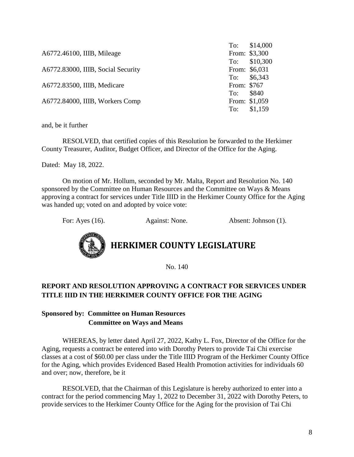| To: \$14,000             |
|--------------------------|
| From: \$3,300            |
| To: \$10,300             |
| From: \$6,031            |
| To: \$6,343              |
|                          |
|                          |
| From: \$1,059            |
| To: \$1,159              |
| From: \$767<br>To: \$840 |

and, be it further

RESOLVED, that certified copies of this Resolution be forwarded to the Herkimer County Treasurer, Auditor, Budget Officer, and Director of the Office for the Aging.

Dated: May 18, 2022.

On motion of Mr. Hollum, seconded by Mr. Malta, Report and Resolution No. 140 sponsored by the Committee on Human Resources and the Committee on Ways & Means approving a contract for services under Title IIID in the Herkimer County Office for the Aging was handed up; voted on and adopted by voice vote:

For: Ayes (16). Against: None. Absent: Johnson (1).



# **HERKIMER COUNTY LEGISLATURE**

No. 140

# **REPORT AND RESOLUTION APPROVING A CONTRACT FOR SERVICES UNDER TITLE IIID IN THE HERKIMER COUNTY OFFICE FOR THE AGING**

# **Sponsored by: Committee on Human Resources Committee on Ways and Means**

WHEREAS, by letter dated April 27, 2022, Kathy L. Fox, Director of the Office for the Aging, requests a contract be entered into with Dorothy Peters to provide Tai Chi exercise classes at a cost of \$60.00 per class under the Title IIID Program of the Herkimer County Office for the Aging, which provides Evidenced Based Health Promotion activities for individuals 60 and over; now, therefore, be it

RESOLVED, that the Chairman of this Legislature is hereby authorized to enter into a contract for the period commencing May 1, 2022 to December 31, 2022 with Dorothy Peters, to provide services to the Herkimer County Office for the Aging for the provision of Tai Chi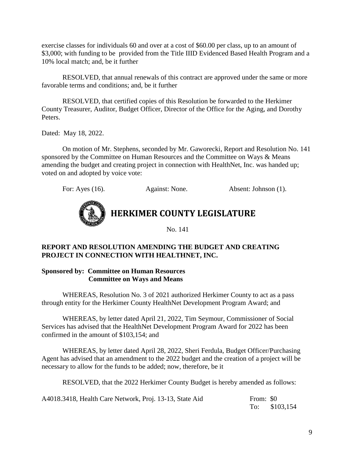exercise classes for individuals 60 and over at a cost of \$60.00 per class, up to an amount of \$3,000; with funding to be provided from the Title IIID Evidenced Based Health Program and a 10% local match; and, be it further

RESOLVED, that annual renewals of this contract are approved under the same or more favorable terms and conditions; and, be it further

RESOLVED, that certified copies of this Resolution be forwarded to the Herkimer County Treasurer, Auditor, Budget Officer, Director of the Office for the Aging, and Dorothy Peters.

Dated: May 18, 2022.

On motion of Mr. Stephens, seconded by Mr. Gaworecki, Report and Resolution No. 141 sponsored by the Committee on Human Resources and the Committee on Ways & Means amending the budget and creating project in connection with HealthNet, Inc. was handed up; voted on and adopted by voice vote:

For: Ayes (16). Against: None. Absent: Johnson (1).



**HERKIMER COUNTY LEGISLATURE**

No. 141

# **REPORT AND RESOLUTION AMENDING THE BUDGET AND CREATING PROJECT IN CONNECTION WITH HEALTHNET, INC.**

## **Sponsored by: Committee on Human Resources Committee on Ways and Means**

WHEREAS, Resolution No. 3 of 2021 authorized Herkimer County to act as a pass through entity for the Herkimer County HealthNet Development Program Award; and

WHEREAS, by letter dated April 21, 2022, Tim Seymour, Commissioner of Social Services has advised that the HealthNet Development Program Award for 2022 has been confirmed in the amount of \$103,154; and

WHEREAS, by letter dated April 28, 2022, Sheri Ferdula, Budget Officer/Purchasing Agent has advised that an amendment to the 2022 budget and the creation of a project will be necessary to allow for the funds to be added; now, therefore, be it

RESOLVED, that the 2022 Herkimer County Budget is hereby amended as follows:

A4018.3418, Health Care Network, Proj. 13-13, State Aid From: \$0

To: \$103,154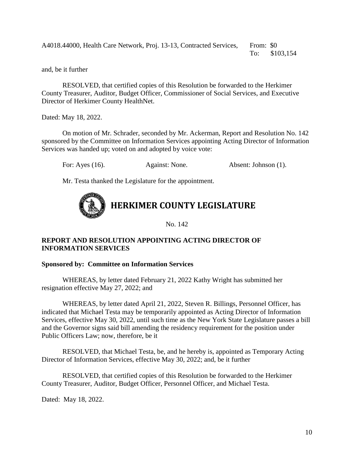A4018.44000, Health Care Network, Proj. 13-13, Contracted Services, From: \$0 To: \$103,154

and, be it further

RESOLVED, that certified copies of this Resolution be forwarded to the Herkimer County Treasurer, Auditor, Budget Officer, Commissioner of Social Services, and Executive Director of Herkimer County HealthNet.

Dated: May 18, 2022.

On motion of Mr. Schrader, seconded by Mr. Ackerman, Report and Resolution No. 142 sponsored by the Committee on Information Services appointing Acting Director of Information Services was handed up; voted on and adopted by voice vote:

For: Ayes (16). Against: None. Absent: Johnson (1).

Mr. Testa thanked the Legislature for the appointment.



No. 142

# **REPORT AND RESOLUTION APPOINTING ACTING DIRECTOR OF INFORMATION SERVICES**

#### **Sponsored by: Committee on Information Services**

WHEREAS, by letter dated February 21, 2022 Kathy Wright has submitted her resignation effective May 27, 2022; and

WHEREAS, by letter dated April 21, 2022, Steven R. Billings, Personnel Officer, has indicated that Michael Testa may be temporarily appointed as Acting Director of Information Services, effective May 30, 2022, until such time as the New York State Legislature passes a bill and the Governor signs said bill amending the residency requirement for the position under Public Officers Law; now, therefore, be it

RESOLVED, that Michael Testa, be, and he hereby is, appointed as Temporary Acting Director of Information Services, effective May 30, 2022; and, be it further

RESOLVED, that certified copies of this Resolution be forwarded to the Herkimer County Treasurer, Auditor, Budget Officer, Personnel Officer, and Michael Testa.

Dated: May 18, 2022.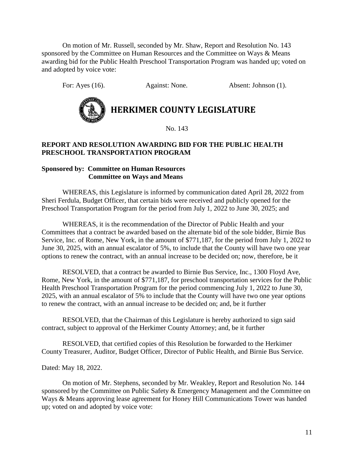On motion of Mr. Russell, seconded by Mr. Shaw, Report and Resolution No. 143 sponsored by the Committee on Human Resources and the Committee on Ways & Means awarding bid for the Public Health Preschool Transportation Program was handed up; voted on and adopted by voice vote:

For: Ayes (16). Against: None. Absent: Johnson (1).



**HERKIMER COUNTY LEGISLATURE**

No. 143

# **REPORT AND RESOLUTION AWARDING BID FOR THE PUBLIC HEALTH PRESCHOOL TRANSPORTATION PROGRAM**

# **Sponsored by: Committee on Human Resources Committee on Ways and Means**

WHEREAS, this Legislature is informed by communication dated April 28, 2022 from Sheri Ferdula, Budget Officer, that certain bids were received and publicly opened for the Preschool Transportation Program for the period from July 1, 2022 to June 30, 2025; and

WHEREAS, it is the recommendation of the Director of Public Health and your Committees that a contract be awarded based on the alternate bid of the sole bidder, Birnie Bus Service, Inc. of Rome, New York, in the amount of \$771,187, for the period from July 1, 2022 to June 30, 2025, with an annual escalator of 5%, to include that the County will have two one year options to renew the contract, with an annual increase to be decided on; now, therefore, be it

RESOLVED, that a contract be awarded to Birnie Bus Service, Inc., 1300 Floyd Ave, Rome, New York, in the amount of \$771,187, for preschool transportation services for the Public Health Preschool Transportation Program for the period commencing July 1, 2022 to June 30, 2025, with an annual escalator of 5% to include that the County will have two one year options to renew the contract, with an annual increase to be decided on; and, be it further

RESOLVED, that the Chairman of this Legislature is hereby authorized to sign said contract, subject to approval of the Herkimer County Attorney; and, be it further

RESOLVED, that certified copies of this Resolution be forwarded to the Herkimer County Treasurer, Auditor, Budget Officer, Director of Public Health, and Birnie Bus Service.

Dated: May 18, 2022.

On motion of Mr. Stephens, seconded by Mr. Weakley, Report and Resolution No. 144 sponsored by the Committee on Public Safety & Emergency Management and the Committee on Ways & Means approving lease agreement for Honey Hill Communications Tower was handed up; voted on and adopted by voice vote: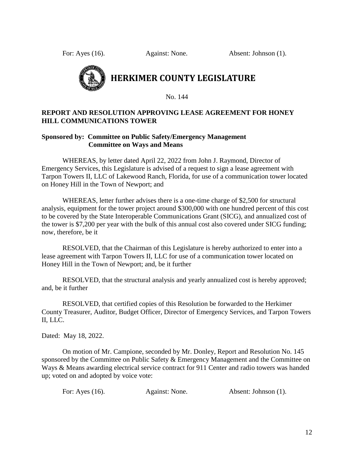For: Ayes (16). Against: None. Absent: Johnson (1).



# **HERKIMER COUNTY LEGISLATURE**

No. 144

## **REPORT AND RESOLUTION APPROVING LEASE AGREEMENT FOR HONEY HILL COMMUNICATIONS TOWER**

## **Sponsored by: Committee on Public Safety/Emergency Management Committee on Ways and Means**

WHEREAS, by letter dated April 22, 2022 from John J. Raymond, Director of Emergency Services, this Legislature is advised of a request to sign a lease agreement with Tarpon Towers II, LLC of Lakewood Ranch, Florida, for use of a communication tower located on Honey Hill in the Town of Newport; and

WHEREAS, letter further advises there is a one-time charge of \$2,500 for structural analysis, equipment for the tower project around \$300,000 with one hundred percent of this cost to be covered by the State Interoperable Communications Grant (SICG), and annualized cost of the tower is \$7,200 per year with the bulk of this annual cost also covered under SICG funding; now, therefore, be it

RESOLVED, that the Chairman of this Legislature is hereby authorized to enter into a lease agreement with Tarpon Towers II, LLC for use of a communication tower located on Honey Hill in the Town of Newport; and, be it further

RESOLVED, that the structural analysis and yearly annualized cost is hereby approved; and, be it further

RESOLVED, that certified copies of this Resolution be forwarded to the Herkimer County Treasurer, Auditor, Budget Officer, Director of Emergency Services, and Tarpon Towers II, LLC.

Dated: May 18, 2022.

On motion of Mr. Campione, seconded by Mr. Donley, Report and Resolution No. 145 sponsored by the Committee on Public Safety & Emergency Management and the Committee on Ways & Means awarding electrical service contract for 911 Center and radio towers was handed up; voted on and adopted by voice vote:

| For: Ayes $(16)$ .<br>Against: None. | Absent: Johnson (1). |
|--------------------------------------|----------------------|
|--------------------------------------|----------------------|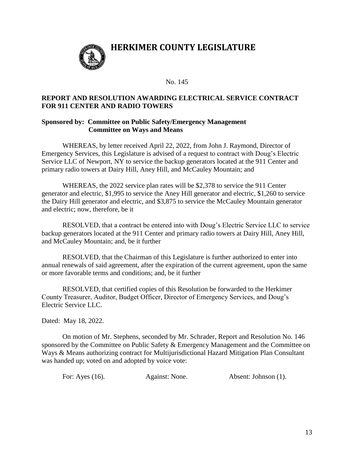

# **HERKIMER COUNTY LEGISLATURE**

#### No. 145

#### **REPORT AND RESOLUTION AWARDING ELECTRICAL SERVICE CONTRACT FOR 911 CENTER AND RADIO TOWERS**

#### **Sponsored by: Committee on Public Safety/Emergency Management Committee on Ways and Means**

WHEREAS, by letter received April 22, 2022, from John J. Raymond, Director of Emergency Services, this Legislature is advised of a request to contract with Doug's Electric Service LLC of Newport, NY to service the backup generators located at the 911 Center and primary radio towers at Dairy Hill, Aney Hill, and McCauley Mountain; and

WHEREAS, the 2022 service plan rates will be \$2,378 to service the 911 Center generator and electric, \$1,995 to service the Aney Hill generator and electric, \$1,260 to service the Dairy Hill generator and electric, and \$3,875 to service the McCauley Mountain generator and electric; now, therefore, be it

RESOLVED, that a contract be entered into with Doug's Electric Service LLC to service backup generators located at the 911 Center and primary radio towers at Dairy Hill, Aney Hill, and McCauley Mountain; and, be it further

RESOLVED, that the Chairman of this Legislature is further authorized to enter into annual renewals of said agreement, after the expiration of the current agreement, upon the same or more favorable terms and conditions; and, be it further

RESOLVED, that certified copies of this Resolution be forwarded to the Herkimer County Treasurer, Auditor, Budget Officer, Director of Emergency Services, and Doug's Electric Service LLC.

Dated: May 18, 2022.

On motion of Mr. Stephens, seconded by Mr. Schrader, Report and Resolution No. 146 sponsored by the Committee on Public Safety & Emergency Management and the Committee on Ways & Means authorizing contract for Multijurisdictional Hazard Mitigation Plan Consultant was handed up; voted on and adopted by voice vote:

For: Ayes (16). Against: None. Absent: Johnson (1).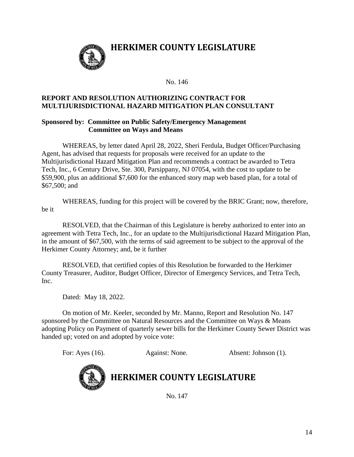

# **HERKIMER COUNTY LEGISLATURE**

No. 146

# **REPORT AND RESOLUTION AUTHORIZING CONTRACT FOR MULTIJURISDICTIONAL HAZARD MITIGATION PLAN CONSULTANT**

## **Sponsored by: Committee on Public Safety/Emergency Management Committee on Ways and Means**

WHEREAS, by letter dated April 28, 2022, Sheri Ferdula, Budget Officer/Purchasing Agent, has advised that requests for proposals were received for an update to the Multijurisdictional Hazard Mitigation Plan and recommends a contract be awarded to Tetra Tech, Inc., 6 Century Drive, Ste. 300, Parsippany, NJ 07054, with the cost to update to be \$59,900, plus an additional \$7,600 for the enhanced story map web based plan, for a total of \$67,500; and

WHEREAS, funding for this project will be covered by the BRIC Grant; now, therefore, be it

RESOLVED, that the Chairman of this Legislature is hereby authorized to enter into an agreement with Tetra Tech, Inc., for an update to the Multijurisdictional Hazard Mitigation Plan, in the amount of \$67,500, with the terms of said agreement to be subject to the approval of the Herkimer County Attorney; and, be it further

RESOLVED, that certified copies of this Resolution be forwarded to the Herkimer County Treasurer, Auditor, Budget Officer, Director of Emergency Services, and Tetra Tech, Inc.

Dated: May 18, 2022.

On motion of Mr. Keeler, seconded by Mr. Manno, Report and Resolution No. 147 sponsored by the Committee on Natural Resources and the Committee on Ways & Means adopting Policy on Payment of quarterly sewer bills for the Herkimer County Sewer District was handed up; voted on and adopted by voice vote:

For: Ayes (16). Against: None. Absent: Johnson (1).



# **HERKIMER COUNTY LEGISLATURE**

No. 147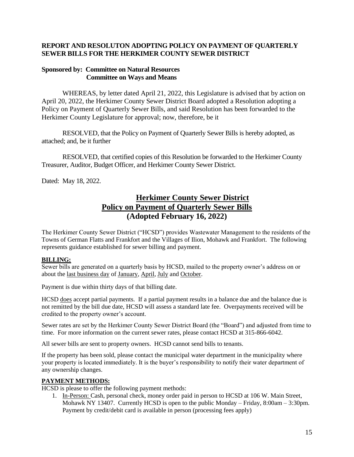## **REPORT AND RESOLUTON ADOPTING POLICY ON PAYMENT OF QUARTERLY SEWER BILLS FOR THE HERKIMER COUNTY SEWER DISTRICT**

#### **Sponsored by: Committee on Natural Resources Committee on Ways and Means**

WHEREAS, by letter dated April 21, 2022, this Legislature is advised that by action on April 20, 2022, the Herkimer County Sewer District Board adopted a Resolution adopting a Policy on Payment of Quarterly Sewer Bills, and said Resolution has been forwarded to the Herkimer County Legislature for approval; now, therefore, be it

RESOLVED, that the Policy on Payment of Quarterly Sewer Bills is hereby adopted, as attached; and, be it further

RESOLVED, that certified copies of this Resolution be forwarded to the Herkimer County Treasurer, Auditor, Budget Officer, and Herkimer County Sewer District.

Dated: May 18, 2022.

# **Herkimer County Sewer District Policy on Payment of Quarterly Sewer Bills (Adopted February 16, 2022)**

The Herkimer County Sewer District ("HCSD") provides Wastewater Management to the residents of the Towns of German Flatts and Frankfort and the Villages of Ilion, Mohawk and Frankfort. The following represents guidance established for sewer billing and payment.

#### **BILLING:**

Sewer bills are generated on a quarterly basis by HCSD, mailed to the property owner's address on or about the last business day of January, April, July and October.

Payment is due within thirty days of that billing date.

HCSD does accept partial payments. If a partial payment results in a balance due and the balance due is not remitted by the bill due date, HCSD will assess a standard late fee. Overpayments received will be credited to the property owner's account.

Sewer rates are set by the Herkimer County Sewer District Board (the "Board") and adjusted from time to time. For more information on the current sewer rates, please contact HCSD at 315-866-6042.

All sewer bills are sent to property owners. HCSD cannot send bills to tenants.

If the property has been sold, please contact the municipal water department in the municipality where your property is located immediately. It is the buyer's responsibility to notify their water department of any ownership changes.

#### **PAYMENT METHODS:**

HCSD is please to offer the following payment methods:

1. In-Person: Cash, personal check, money order paid in person to HCSD at 106 W. Main Street, Mohawk NY 13407. Currently HCSD is open to the public Monday – Friday, 8:00am – 3:30pm. Payment by credit/debit card is available in person (processing fees apply)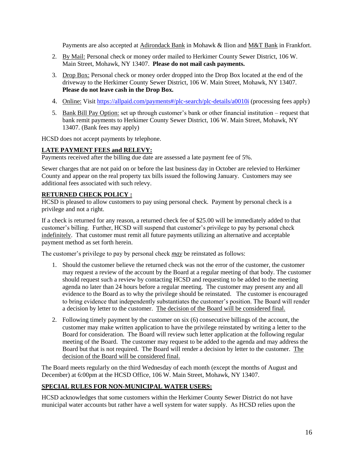Payments are also accepted at Adirondack Bank in Mohawk & Ilion and M&T Bank in Frankfort.

- 2. By Mail: Personal check or money order mailed to Herkimer County Sewer District, 106 W. Main Street, Mohawk, NY 13407. **Please do not mail cash payments.**
- 3. Drop Box: Personal check or money order dropped into the Drop Box located at the end of the driveway to the Herkimer County Sewer District, 106 W. Main Street, Mohawk, NY 13407. **Please do not leave cash in the Drop Box.**
- 4. Online: Visit<https://allpaid.com/payments#/plc-search/plc-details/a0010i> (processing fees apply)
- 5. Bank Bill Pay Option: set up through customer's bank or other financial institution request that bank remit payments to Herkimer County Sewer District, 106 W. Main Street, Mohawk, NY 13407. (Bank fees may apply)

HCSD does not accept payments by telephone.

#### **LATE PAYMENT FEES and RELEVY:**

Payments received after the billing due date are assessed a late payment fee of 5%.

Sewer charges that are not paid on or before the last business day in October are relevied to Herkimer County and appear on the real property tax bills issued the following January. Customers may see additional fees associated with such relevy.

#### **RETURNED CHECK POLICY :**

HCSD is pleased to allow customers to pay using personal check. Payment by personal check is a privilege and not a right.

If a check is returned for any reason, a returned check fee of \$25.00 will be immediately added to that customer's billing. Further, HCSD will suspend that customer's privilege to pay by personal check indefinitely. That customer must remit all future payments utilizing an alternative and acceptable payment method as set forth herein.

The customer's privilege to pay by personal check *may* be reinstated as follows:

- 1. Should the customer believe the returned check was not the error of the customer, the customer may request a review of the account by the Board at a regular meeting of that body. The customer should request such a review by contacting HCSD and requesting to be added to the meeting agenda no later than 24 hours before a regular meeting. The customer may present any and all evidence to the Board as to why the privilege should be reinstated. The customer is encouraged to bring evidence that independently substantiates the customer's position. The Board will render a decision by letter to the customer. The decision of the Board will be considered final.
- 2. Following timely payment by the customer on six (6) consecutive billings of the account, the customer may make written application to have the privilege reinstated by writing a letter to the Board for consideration. The Board will review such letter application at the following regular meeting of the Board. The customer may request to be added to the agenda and may address the Board but that is not required. The Board will render a decision by letter to the customer. The decision of the Board will be considered final.

The Board meets regularly on the third Wednesday of each month (except the months of August and December) at 6:00pm at the HCSD Office, 106 W. Main Street, Mohawk, NY 13407.

#### **SPECIAL RULES FOR NON-MUNICIPAL WATER USERS:**

HCSD acknowledges that some customers within the Herkimer County Sewer District do not have municipal water accounts but rather have a well system for water supply. As HCSD relies upon the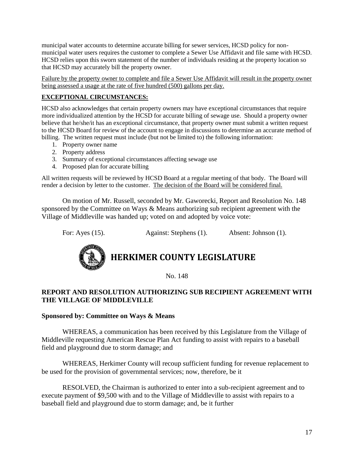municipal water accounts to determine accurate billing for sewer services, HCSD policy for nonmunicipal water users requires the customer to complete a Sewer Use Affidavit and file same with HCSD. HCSD relies upon this sworn statement of the number of individuals residing at the property location so that HCSD may accurately bill the property owner.

Failure by the property owner to complete and file a Sewer Use Affidavit will result in the property owner being assessed a usage at the rate of five hundred (500) gallons per day.

# **EXCEPTIONAL CIRCUMSTANCES:**

HCSD also acknowledges that certain property owners may have exceptional circumstances that require more individualized attention by the HCSD for accurate billing of sewage use. Should a property owner believe that he/she/it has an exceptional circumstance, that property owner must submit a written request to the HCSD Board for review of the account to engage in discussions to determine an accurate method of billing. The written request must include (but not be limited to) the following information:

- 1. Property owner name
- 2. Property address
- 3. Summary of exceptional circumstances affecting sewage use
- 4. Proposed plan for accurate billing

All written requests will be reviewed by HCSD Board at a regular meeting of that body. The Board will render a decision by letter to the customer. The decision of the Board will be considered final.

On motion of Mr. Russell, seconded by Mr. Gaworecki, Report and Resolution No. 148 sponsored by the Committee on Ways & Means authorizing sub recipient agreement with the Village of Middleville was handed up; voted on and adopted by voice vote:

For: Ayes (15). Against: Stephens (1). Absent: Johnson (1).



# **HERKIMER COUNTY LEGISLATURE**

No. 148

# **REPORT AND RESOLUTION AUTHORIZING SUB RECIPIENT AGREEMENT WITH THE VILLAGE OF MIDDLEVILLE**

#### **Sponsored by: Committee on Ways & Means**

WHEREAS, a communication has been received by this Legislature from the Village of Middleville requesting American Rescue Plan Act funding to assist with repairs to a baseball field and playground due to storm damage; and

WHEREAS, Herkimer County will recoup sufficient funding for revenue replacement to be used for the provision of governmental services; now, therefore, be it

RESOLVED, the Chairman is authorized to enter into a sub-recipient agreement and to execute payment of \$9,500 with and to the Village of Middleville to assist with repairs to a baseball field and playground due to storm damage; and, be it further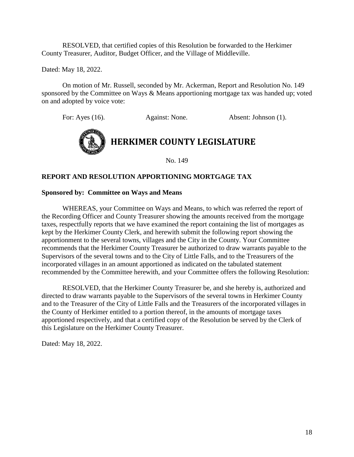RESOLVED, that certified copies of this Resolution be forwarded to the Herkimer County Treasurer, Auditor, Budget Officer, and the Village of Middleville.

Dated: May 18, 2022.

On motion of Mr. Russell, seconded by Mr. Ackerman, Report and Resolution No. 149 sponsored by the Committee on Ways & Means apportioning mortgage tax was handed up; voted on and adopted by voice vote:

For: Ayes (16). Against: None. Absent: Johnson (1).



No. 149

## **REPORT AND RESOLUTION APPORTIONING MORTGAGE TAX**

#### **Sponsored by: Committee on Ways and Means**

WHEREAS, your Committee on Ways and Means, to which was referred the report of the Recording Officer and County Treasurer showing the amounts received from the mortgage taxes, respectfully reports that we have examined the report containing the list of mortgages as kept by the Herkimer County Clerk, and herewith submit the following report showing the apportionment to the several towns, villages and the City in the County. Your Committee recommends that the Herkimer County Treasurer be authorized to draw warrants payable to the Supervisors of the several towns and to the City of Little Falls, and to the Treasurers of the incorporated villages in an amount apportioned as indicated on the tabulated statement recommended by the Committee herewith, and your Committee offers the following Resolution:

RESOLVED, that the Herkimer County Treasurer be, and she hereby is, authorized and directed to draw warrants payable to the Supervisors of the several towns in Herkimer County and to the Treasurer of the City of Little Falls and the Treasurers of the incorporated villages in the County of Herkimer entitled to a portion thereof, in the amounts of mortgage taxes apportioned respectively, and that a certified copy of the Resolution be served by the Clerk of this Legislature on the Herkimer County Treasurer.

Dated: May 18, 2022.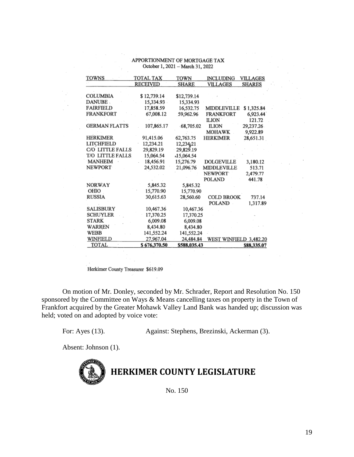| TOWNS                | TOTAL TAX       | TOWN         | <b>INCLUDING</b>       | <b>VILLAGES</b> |
|----------------------|-----------------|--------------|------------------------|-----------------|
|                      | <b>RECEIVED</b> | <b>SHARE</b> | VILLAGES               | <b>SHARES</b>   |
|                      |                 |              |                        |                 |
| <b>COLUMBIA</b>      | \$12,739.14     | \$12,739.14  |                        |                 |
| <b>DANUBE</b>        | 15,334.93       | 15,334.93    |                        |                 |
| <b>FAIRFIELD</b>     | 17,858.59       | 16,532.75    | <b>MIDDLEVILLE</b>     | \$1,325.84      |
| <b>FRANKFORT</b>     | 67,008.12       | 59,962.96    | <b>FRANKFORT</b>       | 6,923.44        |
|                      |                 |              | <b>ILION</b>           | 121.72          |
| <b>GERMAN FLATTS</b> | 107,865.17      | 68,705.02    | <b>ILION</b>           | 29,237.26       |
|                      |                 |              | <b>MOHAWK</b>          | 9.922.89        |
| <b>HERKIMER</b>      | 91,415.06       | 62,763.75    | HERKIMER               | 28,651.31       |
| <b>LITCHFIELD</b>    | 12.234.21       | 12,234,21    |                        |                 |
| C/O LITTLE FALLS     | 29,829.19       | 29,829.19    |                        |                 |
| T/O LITTLE FALLS     | 15,064.54       | -15,064.54   |                        |                 |
| <b>MANHEIM</b>       | 18,456.91       | 15,276.79    | DOLGEVILLE             | 3,180.12        |
| <b>NEWPORT</b>       | 24,532.02       | 21,096.76    | <b>MIDDLEVILLE</b>     | 513.71          |
|                      |                 |              | <b>NEWPORT</b>         | 2,479.77        |
|                      |                 |              | <b>POLAND</b>          | 441.78          |
| <b>NORWAY</b>        | 5,845.32        | 5,845.32     |                        |                 |
| OHIO                 | 15,770.90       | 15,770.90    |                        |                 |
| <b>RUSSIA</b>        | 30,615.63       | 28,560.60    | COLD BROOK             | 737.14          |
|                      |                 |              | <b>POLAND</b>          | 1,317.89        |
| <b>SALISBURY</b>     | 10,467.36       | 10,467.36    |                        |                 |
| <b>SCHUYLER</b>      | 17,370.25       | 17,370.25    |                        |                 |
| <b>STARK</b>         | 6,009.08        | 6,009.08     |                        |                 |
| WARREN               | 8,434.80        | 8,434.80     |                        |                 |
| WEBB                 | 141,552.24      | 141,552.24   |                        |                 |
| WINFIELD             | 27,967.04       | 24,484.84    | WEST WINFIELD 3,482.20 |                 |
| TOTAL                | \$676,370.50    | \$588,035.43 |                        | \$88,335.07     |

#### APPORTIONMENT OF MORTGAGE TAX October 1, 2021 - March 31, 2022

Herkimer County Treasurer \$619.09

On motion of Mr. Donley, seconded by Mr. Schrader, Report and Resolution No. 150 sponsored by the Committee on Ways & Means cancelling taxes on property in the Town of Frankfort acquired by the Greater Mohawk Valley Land Bank was handed up; discussion was held; voted on and adopted by voice vote:

For: Ayes (13). Against: Stephens, Brezinski, Ackerman (3).

Absent: Johnson (1).



No. 150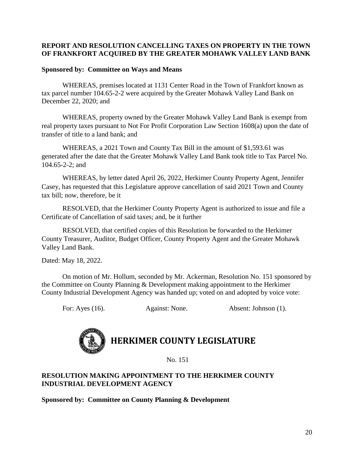# **REPORT AND RESOLUTION CANCELLING TAXES ON PROPERTY IN THE TOWN OF FRANKFORT ACQUIRED BY THE GREATER MOHAWK VALLEY LAND BANK**

# **Sponsored by: Committee on Ways and Means**

WHEREAS, premises located at 1131 Center Road in the Town of Frankfort known as tax parcel number 104.65-2-2 were acquired by the Greater Mohawk Valley Land Bank on December 22, 2020; and

WHEREAS, property owned by the Greater Mohawk Valley Land Bank is exempt from real property taxes pursuant to Not For Profit Corporation Law Section 1608(a) upon the date of transfer of title to a land bank; and

WHEREAS, a 2021 Town and County Tax Bill in the amount of \$1,593.61 was generated after the date that the Greater Mohawk Valley Land Bank took title to Tax Parcel No. 104.65-2-2; and

WHEREAS, by letter dated April 26, 2022, Herkimer County Property Agent, Jennifer Casey, has requested that this Legislature approve cancellation of said 2021 Town and County tax bill; now, therefore, be it

RESOLVED, that the Herkimer County Property Agent is authorized to issue and file a Certificate of Cancellation of said taxes; and, be it further

RESOLVED, that certified copies of this Resolution be forwarded to the Herkimer County Treasurer, Auditor, Budget Officer, County Property Agent and the Greater Mohawk Valley Land Bank.

Dated: May 18, 2022.

On motion of Mr. Hollum, seconded by Mr. Ackerman, Resolution No. 151 sponsored by the Committee on County Planning & Development making appointment to the Herkimer County Industrial Development Agency was handed up; voted on and adopted by voice vote:

For: Ayes (16). Against: None. Absent: Johnson (1).

# **HERKIMER COUNTY LEGISLATURE**

No. 151

# **RESOLUTION MAKING APPOINTMENT TO THE HERKIMER COUNTY INDUSTRIAL DEVELOPMENT AGENCY**

**Sponsored by: Committee on County Planning & Development**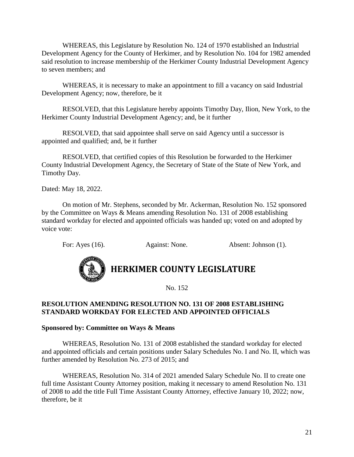WHEREAS, this Legislature by Resolution No. 124 of 1970 established an Industrial Development Agency for the County of Herkimer, and by Resolution No. 104 for 1982 amended said resolution to increase membership of the Herkimer County Industrial Development Agency to seven members; and

WHEREAS, it is necessary to make an appointment to fill a vacancy on said Industrial Development Agency; now, therefore, be it

RESOLVED, that this Legislature hereby appoints Timothy Day, Ilion, New York, to the Herkimer County Industrial Development Agency; and, be it further

RESOLVED, that said appointee shall serve on said Agency until a successor is appointed and qualified; and, be it further

RESOLVED, that certified copies of this Resolution be forwarded to the Herkimer County Industrial Development Agency, the Secretary of State of the State of New York, and Timothy Day.

Dated: May 18, 2022.

On motion of Mr. Stephens, seconded by Mr. Ackerman, Resolution No. 152 sponsored by the Committee on Ways & Means amending Resolution No. 131 of 2008 establishing standard workday for elected and appointed officials was handed up; voted on and adopted by voice vote:

For: Ayes (16). Against: None. Absent: Johnson (1).



# **HERKIMER COUNTY LEGISLATURE**

No. 152

## **RESOLUTION AMENDING RESOLUTION NO. 131 OF 2008 ESTABLISHING STANDARD WORKDAY FOR ELECTED AND APPOINTED OFFICIALS**

#### **Sponsored by: Committee on Ways & Means**

WHEREAS, Resolution No. 131 of 2008 established the standard workday for elected and appointed officials and certain positions under Salary Schedules No. I and No. II, which was further amended by Resolution No. 273 of 2015; and

WHEREAS, Resolution No. 314 of 2021 amended Salary Schedule No. II to create one full time Assistant County Attorney position, making it necessary to amend Resolution No. 131 of 2008 to add the title Full Time Assistant County Attorney, effective January 10, 2022; now, therefore, be it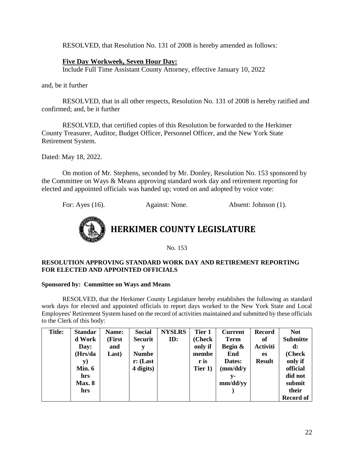RESOLVED, that Resolution No. 131 of 2008 is hereby amended as follows:

# **Five Day Workweek, Seven Hour Day:**

Include Full Time Assistant County Attorney, effective January 10, 2022

and, be it further

RESOLVED, that in all other respects, Resolution No. 131 of 2008 is hereby ratified and confirmed; and, be it further

RESOLVED, that certified copies of this Resolution be forwarded to the Herkimer County Treasurer, Auditor, Budget Officer, Personnel Officer, and the New York State Retirement System.

Dated: May 18, 2022.

On motion of Mr. Stephens, seconded by Mr. Donley, Resolution No. 153 sponsored by the Committee on Ways & Means approving standard work day and retirement reporting for elected and appointed officials was handed up; voted on and adopted by voice vote:

For: Ayes (16). Against: None. Absent: Johnson (1).



No. 153

#### **RESOLUTION APPROVING STANDARD WORK DAY AND RETIREMENT REPORTING FOR ELECTED AND APPOINTED OFFICIALS**

### **Sponsored by: Committee on Ways and Means**

RESOLVED, that the Herkimer County Legislature hereby establishes the following as standard work days for elected and appointed officials to report days worked to the New York State and Local Employees' Retirement System based on the record of activities maintained and submitted by these officials to the Clerk of this body:

| <b>Title:</b> | <b>Standar</b> | Name:  | <b>Social</b>        | <b>NYSLRS</b> | Tier 1  | <b>Current</b> | <b>Record</b>   | <b>Not</b>       |
|---------------|----------------|--------|----------------------|---------------|---------|----------------|-----------------|------------------|
|               | d Work         | (First | <b>Securit</b>       | ID:           | (Check) | <b>Term</b>    | of              | <b>Submitte</b>  |
|               | Day:           | and    |                      |               | only if | Begin &        | <b>Activiti</b> | $\mathbf{d}$ :   |
|               | (Hrs/da        | Last)  | <b>Numbe</b>         |               | membe   | End            | es              | (Check           |
|               | y)             |        | $\mathbf{r}$ : (Last |               | r is    | Dates:         | <b>Result</b>   | only if          |
|               | Min. $6$       |        | 4 digits)            |               | Tier 1) | (mm/dd/y       |                 | official         |
|               | hrs            |        |                      |               |         | v-             |                 | did not          |
|               | <b>Max. 8</b>  |        |                      |               |         | mm/dd/yy       |                 | submit           |
|               | hrs            |        |                      |               |         |                |                 | their            |
|               |                |        |                      |               |         |                |                 | <b>Record of</b> |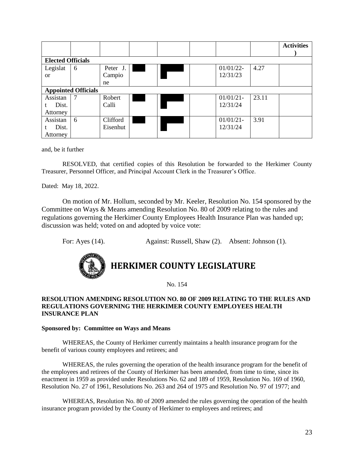|                               |                            |                          |  |  |  |                          |       | <b>Activities</b> |
|-------------------------------|----------------------------|--------------------------|--|--|--|--------------------------|-------|-------------------|
| <b>Elected Officials</b>      |                            |                          |  |  |  |                          |       |                   |
| Legislat<br><sub>or</sub>     | 6                          | Peter J.<br>Campio<br>ne |  |  |  | $01/01/22$ -<br>12/31/23 | 4.27  |                   |
|                               | <b>Appointed Officials</b> |                          |  |  |  |                          |       |                   |
| Assistan<br>Dist.<br>Attorney | $\overline{7}$             | Robert<br>Calli          |  |  |  | $01/01/21$ -<br>12/31/24 | 23.11 |                   |
| Assistan<br>Dist.<br>Attorney | 6                          | Clifford<br>Eisenhut     |  |  |  | $01/01/21$ -<br>12/31/24 | 3.91  |                   |

and, be it further

RESOLVED, that certified copies of this Resolution be forwarded to the Herkimer County Treasurer, Personnel Officer, and Principal Account Clerk in the Treasurer's Office.

Dated: May 18, 2022.

On motion of Mr. Hollum, seconded by Mr. Keeler, Resolution No. 154 sponsored by the Committee on Ways & Means amending Resolution No. 80 of 2009 relating to the rules and regulations governing the Herkimer County Employees Health Insurance Plan was handed up; discussion was held; voted on and adopted by voice vote:

For: Ayes (14). Against: Russell, Shaw (2). Absent: Johnson (1).



# **HERKIMER COUNTY LEGISLATURE**

No. 154

#### **RESOLUTION AMENDING RESOLUTION NO. 80 OF 2009 RELATING TO THE RULES AND REGULATIONS GOVERNING THE HERKIMER COUNTY EMPLOYEES HEALTH INSURANCE PLAN**

#### **Sponsored by: Committee on Ways and Means**

WHEREAS, the County of Herkimer currently maintains a health insurance program for the benefit of various county employees and retirees; and

WHEREAS, the rules governing the operation of the health insurance program for the benefit of the employees and retirees of the County of Herkimer has been amended, from time to time, since its enactment in 1959 as provided under Resolutions No. 62 and 189 of 1959, Resolution No. 169 of 1960, Resolution No. 27 of 1961, Resolutions No. 263 and 264 of 1975 and Resolution No. 97 of 1977; and

WHEREAS, Resolution No. 80 of 2009 amended the rules governing the operation of the health insurance program provided by the County of Herkimer to employees and retirees; and